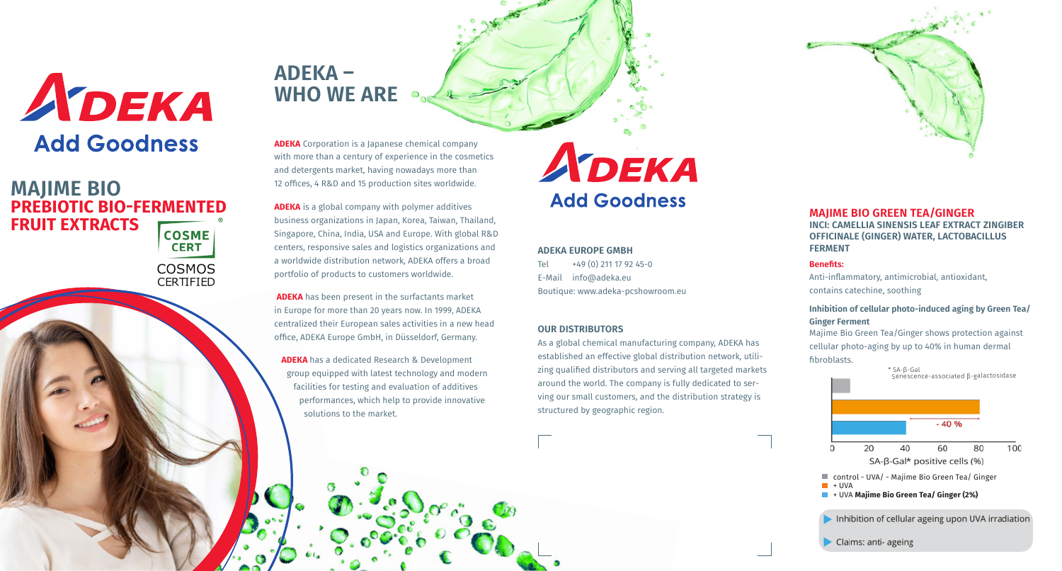

#### **MAJIME BIO GREEN TEA/GINGER INCI: CAMELLIA SINENSIS LEAF EXTRACT ZINGIBER OFFICINALE (GINGER) WATER, LACTOBACILLUS FERMENT**

#### **Benefits:**

Anti-inflammatory, antimicrobial, antioxidant, contains catechine, soothing

#### **Inhibition of cellular photo-induced aging by Green Tea/ Ginger Ferment**

Majime Bio Green Tea/Ginger shows protection against cellular photo-aging by up to 40% in human dermal fibroblasts.



Claims: anti- ageing

# **ADEKA – WHO WE ARE**

**ADEKA** Corporation is a Japanese chemical company with more than a century of experience in the cosmetics and detergents market, having nowadays more than 12 offices, 4 R&D and 15 production sites worldwide.

**ADEKA** is a global company with polymer additives business organizations in Japan, Korea, Taiwan, Thailand, Singapore, China, India, USA and Europe. With global R&D centers, responsive sales and logistics organizations and a worldwide distribution network, ADEKA offers a broad portfolio of products to customers worldwide.

**ADEKA** has been present in the surfactants market in Europe for more than 20 years now. In 1999, ADEKA centralized their European sales activities in a new head office, ADEKA Europe GmbH, in Düsseldorf, Germany.

**ADEKA** has a dedicated Research & Development group equipped with latest technology and modern facilities for testing and evaluation of additives performances, which help to provide innovative solutions to the market.

# ADEKA **Add Goodness**

**ADEKA EUROPE GMBH** Tel  $+49(0)$  211 17 92 45-0

E-Mail info@adeka.eu Boutique: www.adeka-pcshowroom.eu

#### **OUR DISTRIBUTORS**

As a global chemical manufacturing company, ADEKA has established an effective global distribution network, utilizing qualified distributors and serving all targeted markets around the world. The company is fully dedicated to serving our small customers, and the distribution strategy is structured by geographic region.

### **MAJIME BIO PREBIOTIC BIO-FERMENTED FRUIT EXTRACTSCOSME CERT** COSMOS CERTIFIED

ADEKA

**Add Goodness**